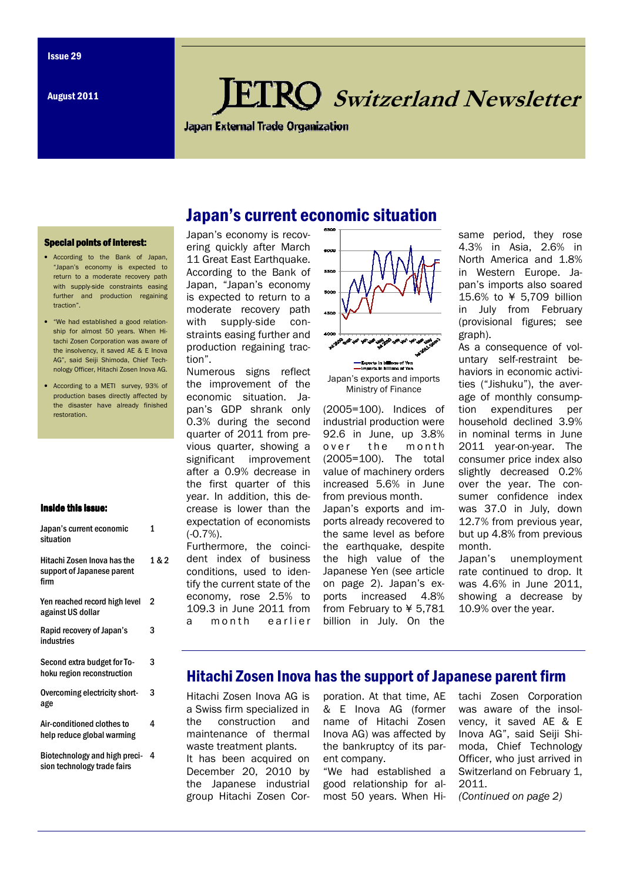August 2011

# **KO** Switzerland Newsletter

**Japan External Trade Organization** 

Japan's current economic situation

6500

#### Special points of interest:

- According to the Bank of Japan, "Japan's economy is expected to return to a moderate recovery path with supply-side constraints easing further and production regaining traction".
- "We had established a good relationship for almost 50 years. When Hitachi Zosen Corporation was aware of the insolvency, it saved AE & E Inova AG", said Seiji Shimoda, Chief Technology Officer, Hitachi Zosen Inova AG.
- According to a METI survey, 93% of production bases directly affected by the disaster have already finished restoration.

#### Inside this issue:

| Japan's current economic<br>situation                             | 1     |
|-------------------------------------------------------------------|-------|
| Hitachi Zosen Inova has the<br>support of Japanese parent<br>firm | 1 & 2 |
| Yen reached record high level<br>against US dollar                | 2     |
| Rapid recovery of Japan's<br>industries                           | 3     |
| Second extra budget for To-<br>hoku region reconstruction         | 3     |
| Overcoming electricity short-<br>age                              | 3     |
| Air-conditioned clothes to<br>help reduce global warming          | 4     |
| Biotechnology and high preci-                                     | 4     |

Biotechnology and high precision technology trade fairs

### Japan's economy is recovering quickly after March 11 Great East Earthquake. According to the Bank of Japan, "Japan's economy is expected to return to a moderate recovery path with supply-side constraints easing further and production regaining traction".

Numerous signs reflect the improvement of the economic situation. Japan's GDP shrank only 0.3% during the second quarter of 2011 from previous quarter, showing a significant improvement after a 0.9% decrease in the first quarter of this year. In addition, this decrease is lower than the expectation of economists (-0.7%).

Furthermore, the coincident index of business conditions, used to identify the current state of the economy, rose 2.5% to 109.3 in June 2011 from a month earlier



Ministry of Finance

(2005=100). Indices of industrial production were 92.6 in June, up 3.8% over the month (2005=100). The total value of machinery orders increased 5.6% in June from previous month. Japan's exports and imports already recovered to the same level as before the earthquake, despite the high value of the Japanese Yen (see article on page 2). Japan's exports increased 4.8% from February to ¥ 5,781 billion in July. On the

same period, they rose 4.3% in Asia, 2.6% in North America and 1.8% in Western Europe. Japan's imports also soared 15.6% to ¥ 5,709 billion in July from February (provisional figures; see graph).

As a consequence of voluntary self-restraint behaviors in economic activities ("Jishuku"), the average of monthly consumption expenditures per household declined 3.9% in nominal terms in June 2011 year-on-year. The consumer price index also slightly decreased 0.2% over the year. The consumer confidence index was 37.0 in July, down 12.7% from previous year, but up 4.8% from previous month.

Japan's unemployment rate continued to drop. It was 4.6% in June 2011, showing a decrease by 10.9% over the year.

### Hitachi Zosen Inova has the support of Japanese parent firm

Hitachi Zosen Inova AG is a Swiss firm specialized in the construction and maintenance of thermal waste treatment plants. It has been acquired on December 20, 2010 by the Japanese industrial group Hitachi Zosen Cor-

poration. At that time, AE & E Inova AG (former name of Hitachi Zosen Inova AG) was affected by the bankruptcy of its parent company.

"We had established a good relationship for almost 50 years. When Hitachi Zosen Corporation was aware of the insolvency, it saved AE & E Inova AG", said Seiji Shimoda, Chief Technology Officer, who just arrived in Switzerland on February 1, 2011.

(Continued on page 2)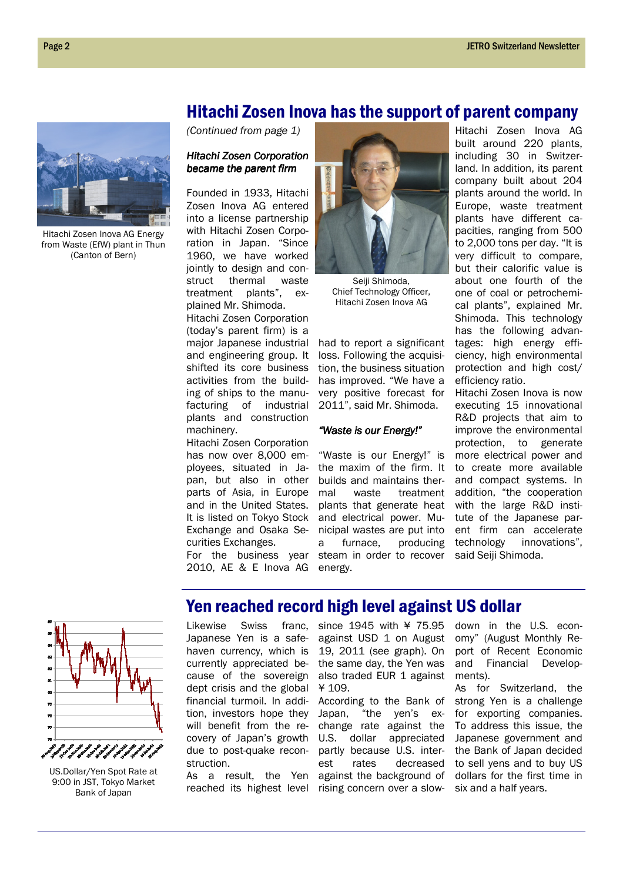# Hitachi Zosen Inova has the support of parent company



Hitachi Zosen Inova AG Energy from Waste (EfW) plant in Thun (Canton of Bern)

(Continued from page 1)

### Hitachi Zosen Corporation became the parent firm

Founded in 1933, Hitachi Zosen Inova AG entered into a license partnership with Hitachi Zosen Corporation in Japan. "Since 1960, we have worked jointly to design and construct thermal waste treatment plants", explained Mr. Shimoda.

Hitachi Zosen Corporation (today's parent firm) is a major Japanese industrial and engineering group. It shifted its core business activities from the building of ships to the manufacturing of industrial plants and construction machinery.

Hitachi Zosen Corporation has now over 8,000 employees, situated in Japan, but also in other parts of Asia, in Europe and in the United States. It is listed on Tokyo Stock Exchange and Osaka Securities Exchanges.

For the business year 2010, AE & E Inova AG



Seiji Shimoda, Chief Technology Officer, Hitachi Zosen Inova AG

had to report a significant loss. Following the acquisition, the business situation has improved. "We have a very positive forecast for 2011", said Mr. Shimoda.

### "Waste is our Energy!"

"Waste is our Energy!" is the maxim of the firm. It builds and maintains thermal waste treatment plants that generate heat and electrical power. Municipal wastes are put into a furnace, producing steam in order to recover energy.

Hitachi Zosen Inova AG built around 220 plants, including 30 in Switzerland. In addition, its parent company built about 204 plants around the world. In Europe, waste treatment plants have different capacities, ranging from 500 to 2,000 tons per day. "It is very difficult to compare, but their calorific value is about one fourth of the one of coal or petrochemical plants", explained Mr. Shimoda. This technology has the following advantages: high energy efficiency, high environmental protection and high cost/ efficiency ratio.

Hitachi Zosen Inova is now executing 15 innovational R&D projects that aim to improve the environmental protection, to generate more electrical power and to create more available and compact systems. In addition, "the cooperation with the large R&D institute of the Japanese parent firm can accelerate technology innovations", said Seiji Shimoda.



US.Dollar/Yen Spot Rate at 9:00 in JST, Tokyo Market Bank of Japan

# Yen reached record high level against US dollar

Likewise Swiss franc, Japanese Yen is a safehaven currency, which is currently appreciated because of the sovereign dept crisis and the global financial turmoil. In addition, investors hope they will benefit from the recovery of Japan's growth due to post-quake reconstruction.

As a result, the Yen reached its highest level rising concern over a slow-

since 1945 with ¥ 75.95 against USD 1 on August 19, 2011 (see graph). On the same day, the Yen was also traded EUR 1 against ¥ 109.

According to the Bank of Japan, "the yen's exchange rate against the U.S. dollar appreciated partly because U.S. interest rates decreased against the background of down in the U.S. economy" (August Monthly Report of Recent Economic and Financial Developments).

As for Switzerland, the strong Yen is a challenge for exporting companies. To address this issue, the Japanese government and the Bank of Japan decided to sell yens and to buy US dollars for the first time in six and a half years.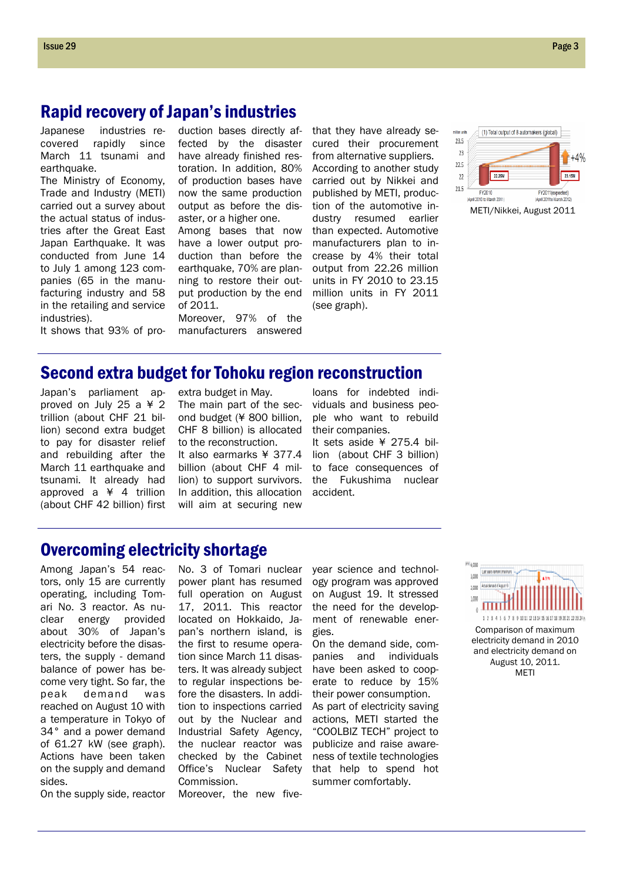# Rapid recovery of Japan's industries

Japanese industries recovered rapidly since March 11 tsunami and earthquake.

The Ministry of Economy, Trade and Industry (METI) carried out a survey about the actual status of industries after the Great East Japan Earthquake. It was conducted from June 14 to July 1 among 123 companies (65 in the manufacturing industry and 58 in the retailing and service industries).

duction bases directly affected by the disaster have already finished restoration. In addition, 80% of production bases have now the same production output as before the disaster, or a higher one.

Among bases that now have a lower output production than before the earthquake, 70% are planning to restore their output production by the end of 2011.

Moreover, 97% of the manufacturers answered

that they have already secured their procurement from alternative suppliers. According to another study carried out by Nikkei and published by METI, production of the automotive industry resumed earlier than expected. Automotive manufacturers plan to increase by 4% their total output from 22.26 million units in FY 2010 to 23.15 million units in FY 2011 (see graph).



It shows that 93% of pro-

# Second extra budget for Tohoku region reconstruction

Japan's parliament approved on July 25 a ¥ 2 trillion (about CHF 21 billion) second extra budget to pay for disaster relief and rebuilding after the March 11 earthquake and tsunami. It already had approved a ¥ 4 trillion (about CHF 42 billion) first

extra budget in May. The main part of the second budget (¥ 800 billion, CHF 8 billion) is allocated to the reconstruction. It also earmarks ¥ 377.4 billion (about CHF 4 million) to support survivors. In addition, this allocation will aim at securing new

No. 3 of Tomari nuclear power plant has resumed

loans for indebted individuals and business people who want to rebuild their companies.

It sets aside ¥ 275.4 billion (about CHF 3 billion) to face consequences of the Fukushima nuclear accident.

# Overcoming electricity shortage

Among Japan's 54 reactors, only 15 are currently operating, including Tomari No. 3 reactor. As nuclear energy provided about 30% of Japan's electricity before the disasters, the supply - demand balance of power has become very tight. So far, the peak demand was reached on August 10 with a temperature in Tokyo of 34° and a power demand of 61.27 kW (see graph). Actions have been taken on the supply and demand sides.

full operation on August 17, 2011. This reactor located on Hokkaido, Japan's northern island, is the first to resume operation since March 11 disasters. It was already subject to regular inspections before the disasters. In addition to inspections carried out by the Nuclear and Industrial Safety Agency, the nuclear reactor was checked by the Cabinet Office's Nuclear Safety Commission.

year science and technology program was approved on August 19. It stressed the need for the development of renewable energies.

On the demand side, companies and individuals have been asked to cooperate to reduce by 15% their power consumption. As part of electricity saving actions, METI started the "COOLBIZ TECH" project to publicize and raise awareness of textile technologies that help to spend hot summer comfortably.



Comparison of maximum electricity demand in 2010 and electricity demand on August 10, 2011. **MFTI** 

On the supply side, reactor

Moreover, the new five-